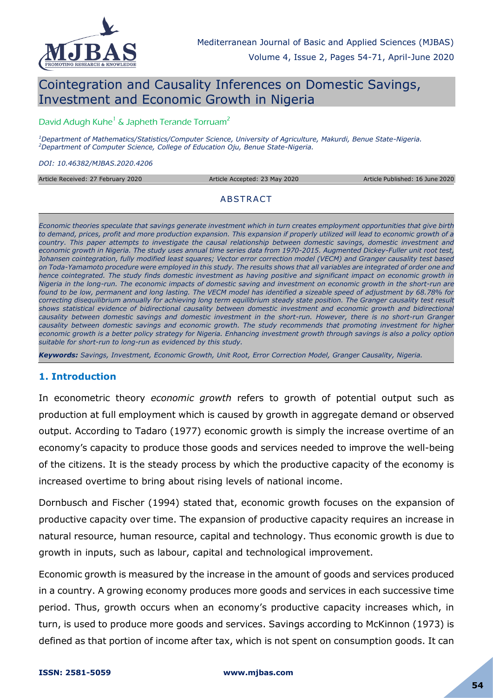

# Cointegration and Causality Inferences on Domestic Savings, Investment and Economic Growth in Nigeria

#### David Adugh Kuhe<sup>1</sup> & Japheth Terande Torruam<sup>2</sup>

*<sup>1</sup>Department of Mathematics/Statistics/Computer Science, University of Agriculture, Makurdi, Benue State-Nigeria. <sup>2</sup>Department of Computer Science, College of Education Oju, Benue State-Nigeria.*

*DOI: 10.46382/MJBAS.2020.4206*

Article Received: 27 February 2020 Article Accepted: 23 May 2020 Article Published: 16 June 2020

#### **ABSTRACT**

*Economic theories speculate that savings generate investment which in turn creates employment opportunities that give birth to demand, prices, profit and more production expansion. This expansion if properly utilized will lead to economic growth of a country. This paper attempts to investigate the causal relationship between domestic savings, domestic investment and economic growth in Nigeria. The study uses annual time series data from 1970-2015. Augmented Dickey-Fuller unit root test, Johansen cointegration, fully modified least squares; Vector error correction model (VECM) and Granger causality test based on Toda-Yamamoto procedure were employed in this study. The results shows that all variables are integrated of order one and*  hence cointegrated. The study finds domestic investment as having positive and significant impact on economic growth in *Nigeria in the long-run. The economic impacts of domestic saving and investment on economic growth in the short-run are*  found to be low, permanent and long lasting. The VECM model has identified a sizeable speed of adjustment by 68.78% for *correcting disequilibrium annually for achieving long term equilibrium steady state position. The Granger causality test result shows statistical evidence of bidirectional causality between domestic investment and economic growth and bidirectional causality between domestic savings and domestic investment in the short-run. However, there is no short-run Granger causality between domestic savings and economic growth. The study recommends that promoting investment for higher economic growth is a better policy strategy for Nigeria. Enhancing investment growth through savings is also a policy option suitable for short-run to long-run as evidenced by this study.*

*Keywords: Savings, Investment, Economic Growth, Unit Root, Error Correction Model, Granger Causality, Nigeria.*

#### **1. Introduction**

In econometric theory *economic growth* refers to growth of potential output such as production at full employment which is caused by growth in aggregate demand or observed output. According to Tadaro (1977) economic growth is simply the increase overtime of an economy's capacity to produce those goods and services needed to improve the well-being of the citizens. It is the steady process by which the productive capacity of the economy is increased overtime to bring about rising levels of national income.

Dornbusch and Fischer (1994) stated that, economic growth focuses on the expansion of productive capacity over time. The expansion of productive capacity requires an increase in natural resource, human resource, capital and technology. Thus economic growth is due to growth in inputs, such as labour, capital and technological improvement.

Economic growth is measured by the increase in the amount of goods and services produced in a country. A growing economy produces more goods and services in each successive time period. Thus, growth occurs when an economy's productive capacity increases which, in turn, is used to produce more goods and services. Savings according to McKinnon (1973) is defined as that portion of income after tax, which is not spent on consumption goods. It can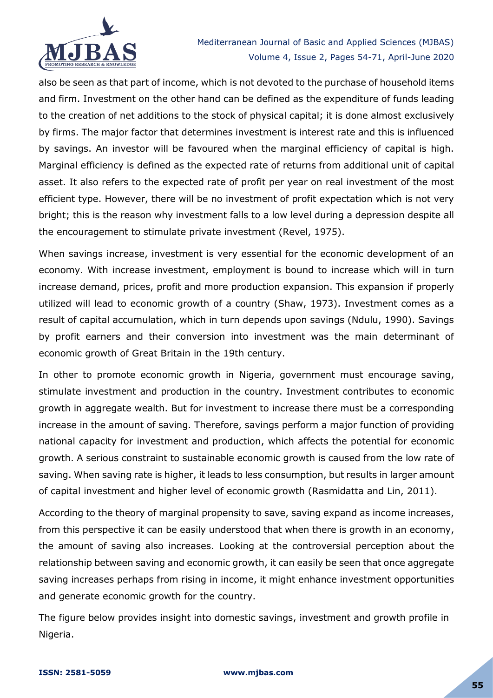

also be seen as that part of income, which is not devoted to the purchase of household items and firm. Investment on the other hand can be defined as the expenditure of funds leading to the creation of net additions to the stock of physical capital; it is done almost exclusively by firms. The major factor that determines investment is interest rate and this is influenced by savings. An investor will be favoured when the marginal efficiency of capital is high. Marginal efficiency is defined as the expected rate of returns from additional unit of capital asset. It also refers to the expected rate of profit per year on real investment of the most efficient type. However, there will be no investment of profit expectation which is not very bright; this is the reason why investment falls to a low level during a depression despite all the encouragement to stimulate private investment (Revel, 1975).

When savings increase, investment is very essential for the economic development of an economy. With increase investment, employment is bound to increase which will in turn increase demand, prices, profit and more production expansion. This expansion if properly utilized will lead to economic growth of a country (Shaw, 1973). Investment comes as a result of capital accumulation, which in turn depends upon savings (Ndulu, 1990). Savings by profit earners and their conversion into investment was the main determinant of economic growth of Great Britain in the 19th century.

In other to promote economic growth in Nigeria, government must encourage saving, stimulate investment and production in the country. Investment contributes to economic growth in aggregate wealth. But for investment to increase there must be a corresponding increase in the amount of saving. Therefore, savings perform a major function of providing national capacity for investment and production, which affects the potential for economic growth. A serious constraint to sustainable economic growth is caused from the low rate of saving. When saving rate is higher, it leads to less consumption, but results in larger amount of capital investment and higher level of economic growth (Rasmidatta and Lin, 2011).

According to the theory of marginal propensity to save, saving expand as income increases, from this perspective it can be easily understood that when there is growth in an economy, the amount of saving also increases. Looking at the controversial perception about the relationship between saving and economic growth, it can easily be seen that once aggregate saving increases perhaps from rising in income, it might enhance investment opportunities and generate economic growth for the country.

The figure below provides insight into domestic savings, investment and growth profile in Nigeria.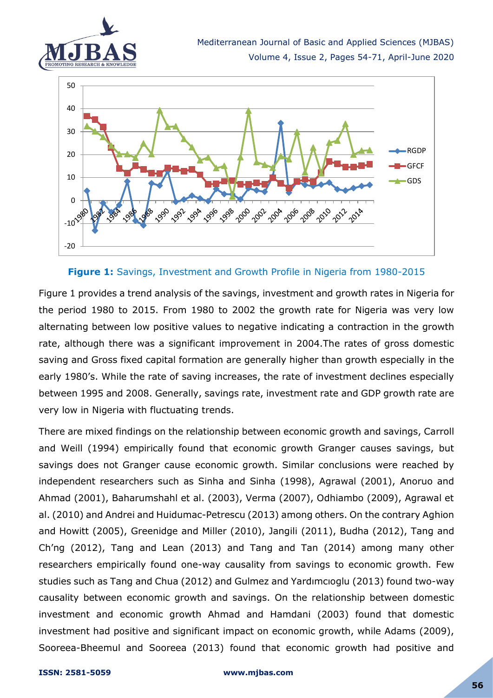



#### **Figure 1:** Savings, Investment and Growth Profile in Nigeria from 1980-2015

Figure 1 provides a trend analysis of the savings, investment and growth rates in Nigeria for the period 1980 to 2015. From 1980 to 2002 the growth rate for Nigeria was very low alternating between low positive values to negative indicating a contraction in the growth rate, although there was a significant improvement in 2004.The rates of gross domestic saving and Gross fixed capital formation are generally higher than growth especially in the early 1980's. While the rate of saving increases, the rate of investment declines especially between 1995 and 2008. Generally, savings rate, investment rate and GDP growth rate are very low in Nigeria with fluctuating trends.

There are mixed findings on the relationship between economic growth and savings, Carroll and Weill (1994) empirically found that economic growth Granger causes savings, but savings does not Granger cause economic growth. Similar conclusions were reached by independent researchers such as Sinha and Sinha (1998), Agrawal (2001), Anoruo and Ahmad (2001), Baharumshahl et al. (2003), Verma (2007), Odhiambo (2009), Agrawal et al. (2010) and Andrei and Huidumac-Petrescu (2013) among others. On the contrary Aghion and Howitt (2005), Greenidge and Miller (2010), Jangili (2011), Budha (2012), Tang and Ch'ng (2012), Tang and Lean (2013) and Tang and Tan (2014) among many other researchers empirically found one-way causality from savings to economic growth. Few studies such as Tang and Chua (2012) and Gulmez and Yardımcıoglu (2013) found two-way causality between economic growth and savings. On the relationship between domestic investment and economic growth Ahmad and Hamdani (2003) found that domestic investment had positive and significant impact on economic growth, while Adams (2009), Sooreea-Bheemul and Sooreea (2013) found that economic growth had positive and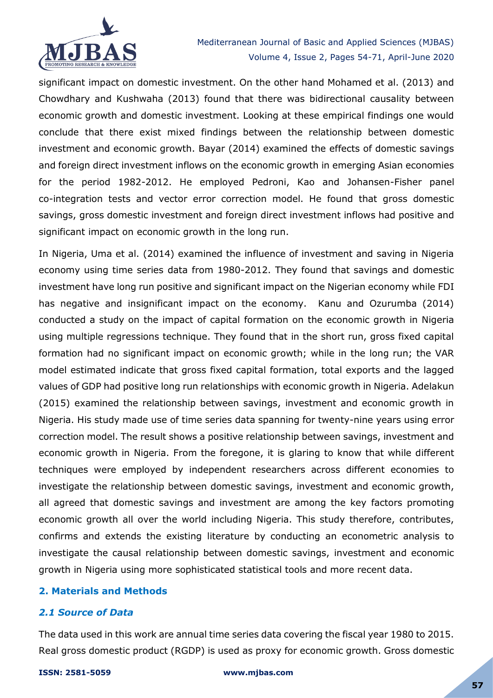

significant impact on domestic investment. On the other hand Mohamed et al. (2013) and Chowdhary and Kushwaha (2013) found that there was bidirectional causality between economic growth and domestic investment. Looking at these empirical findings one would conclude that there exist mixed findings between the relationship between domestic investment and economic growth. Bayar (2014) examined the effects of domestic savings and foreign direct investment inflows on the economic growth in emerging Asian economies for the period 1982-2012. He employed Pedroni, Kao and Johansen-Fisher panel co-integration tests and vector error correction model. He found that gross domestic savings, gross domestic investment and foreign direct investment inflows had positive and significant impact on economic growth in the long run.

In Nigeria, Uma et al. (2014) examined the influence of investment and saving in Nigeria economy using time series data from 1980-2012. They found that savings and domestic investment have long run positive and significant impact on the Nigerian economy while FDI has negative and insignificant impact on the economy. Kanu and Ozurumba (2014) conducted a study on the impact of capital formation on the economic growth in Nigeria using multiple regressions technique. They found that in the short run, gross fixed capital formation had no significant impact on economic growth; while in the long run; the VAR model estimated indicate that gross fixed capital formation, total exports and the lagged values of GDP had positive long run relationships with economic growth in Nigeria. Adelakun (2015) examined the relationship between savings, investment and economic growth in Nigeria. His study made use of time series data spanning for twenty-nine years using error correction model. The result shows a positive relationship between savings, investment and economic growth in Nigeria. From the foregone, it is glaring to know that while different techniques were employed by independent researchers across different economies to investigate the relationship between domestic savings, investment and economic growth, all agreed that domestic savings and investment are among the key factors promoting economic growth all over the world including Nigeria. This study therefore, contributes, confirms and extends the existing literature by conducting an econometric analysis to investigate the causal relationship between domestic savings, investment and economic growth in Nigeria using more sophisticated statistical tools and more recent data.

#### **2. Materials and Methods**

## *2.1 Source of Data*

The data used in this work are annual time series data covering the fiscal year 1980 to 2015. Real gross domestic product (RGDP) is used as proxy for economic growth. Gross domestic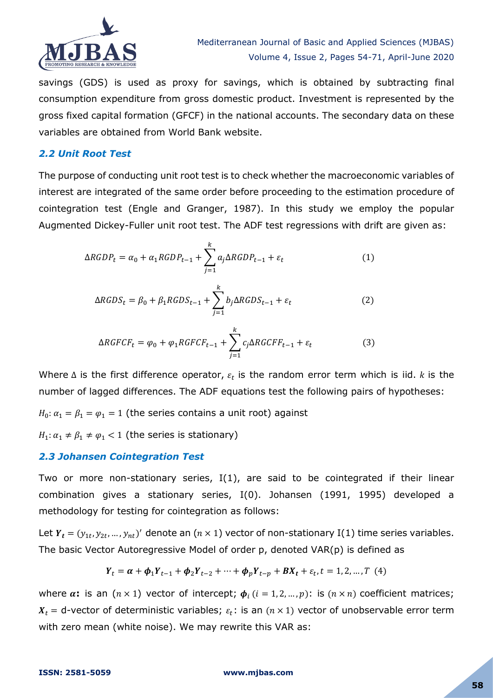

savings (GDS) is used as proxy for savings, which is obtained by subtracting final consumption expenditure from gross domestic product. Investment is represented by the gross fixed capital formation (GFCF) in the national accounts. The secondary data on these variables are obtained from World Bank website.

## *2.2 Unit Root Test*

The purpose of conducting unit root test is to check whether the macroeconomic variables of interest are integrated of the same order before proceeding to the estimation procedure of cointegration test (Engle and Granger, 1987). In this study we employ the popular Augmented Dickey-Fuller unit root test. The ADF test regressions with drift are given as:

$$
\Delta RGBP_t = \alpha_0 + \alpha_1 RGBP_{t-1} + \sum_{j=1}^k a_j \Delta RGBP_{t-1} + \varepsilon_t
$$
 (1)

$$
\Delta RGDS_t = \beta_0 + \beta_1 RGBS_{t-1} + \sum_{j=1}^k b_j \Delta RGBS_{t-1} + \varepsilon_t
$$
 (2)

$$
\Delta RGFCF_t = \varphi_0 + \varphi_1RGFCF_{t-1} + \sum_{j=1}^k c_j \Delta RGCFF_{t-1} + \varepsilon_t
$$
\n(3)

Where  $\Delta$  is the first difference operator,  $\varepsilon_t$  is the random error term which is iid. k is the number of lagged differences. The ADF equations test the following pairs of hypotheses:

 $H_0: \alpha_1 = \beta_1 = \varphi_1 = 1$  (the series contains a unit root) against

 $H_1: \alpha_1 \neq \beta_1 \neq \varphi_1 < 1$  (the series is stationary)

#### *2.3 Johansen Cointegration Test*

Two or more non-stationary series, I(1), are said to be cointegrated if their linear combination gives a stationary series, I(0). Johansen (1991, 1995) developed a methodology for testing for cointegration as follows:

Let  $Y_t = (y_{1t}, y_{2t}, ..., y_{nt})'$  denote an  $(n \times 1)$  vector of non-stationary I(1) time series variables. The basic Vector Autoregressive Model of order p, denoted VAR(p) is defined as

$$
Y_t = \alpha + \phi_1 Y_{t-1} + \phi_2 Y_{t-2} + \dots + \phi_p Y_{t-p} + BX_t + \varepsilon_t, t = 1, 2, ..., T
$$
 (4)

where  $\alpha$ : is an  $(n \times 1)$  vector of intercept;  $\phi_i$  ( $i = 1, 2, ..., p$ ): is  $(n \times n)$  coefficient matrices;  $X_t$  = d-vector of deterministic variables;  $\varepsilon_t$ : is an  $(n \times 1)$  vector of unobservable error term with zero mean (white noise). We may rewrite this VAR as: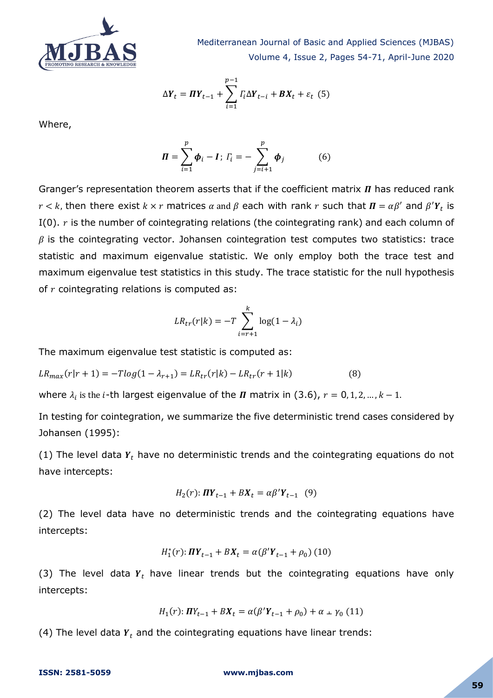

Mediterranean Journal of Basic and Applied Sciences (MJBAS) Volume 4, Issue 2, Pages 54-71, April-June 2020

$$
\Delta Y_t = \boldsymbol{\Pi} Y_{t-1} + \sum_{i=1}^{p-1} \Gamma_i \Delta Y_{t-i} + \boldsymbol{B} X_t + \varepsilon_t \tag{5}
$$

Where,

$$
\mathbf{\Pi} = \sum_{i=1}^{p} \boldsymbol{\phi}_i - \mathbf{I} \, ; \, \Gamma_i = -\sum_{j=i+1}^{p} \boldsymbol{\phi}_j \tag{6}
$$

Granger's representation theorem asserts that if the coefficient matrix  $\boldsymbol{\Pi}$  has reduced rank  $r < k$ , then there exist  $k \times r$  matrices  $\alpha$  and  $\beta$  each with rank r such that  $\bm{\Pi} = \alpha \beta'$  and  $\beta' Y_t$  is I(0).  $r$  is the number of cointegrating relations (the cointegrating rank) and each column of  $\beta$  is the cointegrating vector. Johansen cointegration test computes two statistics: trace statistic and maximum eigenvalue statistic. We only employ both the trace test and maximum eigenvalue test statistics in this study. The trace statistic for the null hypothesis of  $r$  cointegrating relations is computed as:

$$
LR_{tr}(r|k) = -T \sum_{i=r+1}^{k} \log(1 - \lambda_i)
$$

The maximum eigenvalue test statistic is computed as:

$$
LR_{max}(r|r+1) = -T\log(1 - \lambda_{r+1}) = LR_{tr}(r|k) - LR_{tr}(r+1|k)
$$
\n(8)

where  $\lambda_i$  is the *i*-th largest eigenvalue of the  $\boldsymbol{\Pi}$  matrix in (3.6),  $r = 0$ ,

In testing for cointegration, we summarize the five deterministic trend cases considered by Johansen (1995):

(1) The level data  $Y_t$  have no deterministic trends and the cointegrating equations do not have intercepts:

$$
H_2(r): \mathbf{H} \mathbf{Y}_{t-1} + B \mathbf{X}_t = \alpha \beta' \mathbf{Y}_{t-1} \quad (9)
$$

(2) The level data have no deterministic trends and the cointegrating equations have intercepts:

$$
H_1^*(r): \mathbf{H}\mathbf{Y}_{t-1} + B\mathbf{X}_t = \alpha(\beta'\mathbf{Y}_{t-1} + \rho_0) (10)
$$

(3) The level data  $Y_t$  have linear trends but the cointegrating equations have only intercepts:

$$
H_1(r): \Pi Y_{t-1} + BX_t = \alpha(\beta'Y_{t-1} + \rho_0) + \alpha \perp \gamma_0 \tag{11}
$$

(4) The level data  $Y_t$  and the cointegrating equations have linear trends: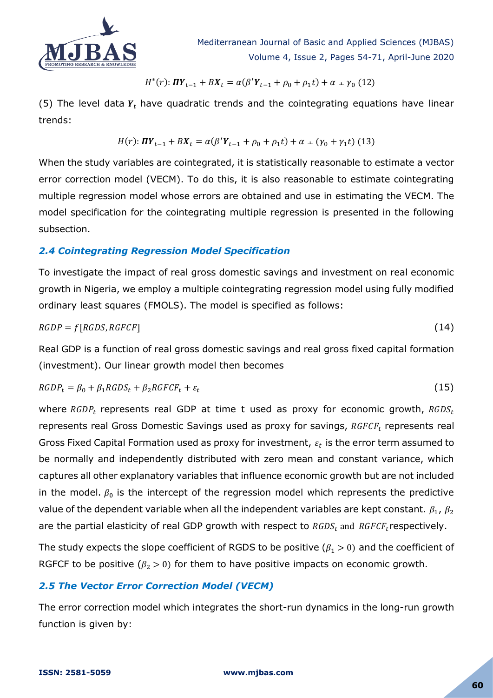

$$
H^{*}(r): \mathbf{H} \mathbf{Y}_{t-1} + B \mathbf{X}_{t} = \alpha(\beta' \mathbf{Y}_{t-1} + \rho_{0} + \rho_{1} t) + \alpha \perp \gamma_{0} (12)
$$

(5) The level data  $Y_t$  have quadratic trends and the cointegrating equations have linear trends:

$$
H(r): \mathbf{I}\mathbf{I}\mathbf{Y}_{t-1} + B\mathbf{X}_t = \alpha(\beta'\mathbf{Y}_{t-1} + \rho_0 + \rho_1 t) + \alpha \perp (\gamma_0 + \gamma_1 t) (13)
$$

When the study variables are cointegrated, it is statistically reasonable to estimate a vector error correction model (VECM). To do this, it is also reasonable to estimate cointegrating multiple regression model whose errors are obtained and use in estimating the VECM. The model specification for the cointegrating multiple regression is presented in the following subsection.

## *2.4 Cointegrating Regression Model Specification*

To investigate the impact of real gross domestic savings and investment on real economic growth in Nigeria, we employ a multiple cointegrating regression model using fully modified ordinary least squares (FMOLS). The model is specified as follows:

$$
RGDP = f[RGDS, RGFCF]
$$
 (14)

Real GDP is a function of real gross domestic savings and real gross fixed capital formation (investment). Our linear growth model then becomes

$$
RGDP_t = \beta_0 + \beta_1 RGDS_t + \beta_2 RGFCF_t + \varepsilon_t \tag{15}
$$

where  $RGDP_t$  represents real GDP at time t used as proxy for economic growth,  $RGDS_t$ represents real Gross Domestic Savings used as proxy for savings,  $RGFCF_t$  represents real Gross Fixed Capital Formation used as proxy for investment,  $\varepsilon_t$  is the error term assumed to be normally and independently distributed with zero mean and constant variance, which captures all other explanatory variables that influence economic growth but are not included in the model.  $\beta_0$  is the intercept of the regression model which represents the predictive value of the dependent variable when all the independent variables are kept constant.  $\beta_1$ ,  $\beta_2$ are the partial elasticity of real GDP growth with respect to  $RGBS_t$  and  $RGFCF_t$ respectively.

The study expects the slope coefficient of RGDS to be positive ( $\beta_1 > 0$ ) and the coefficient of RGFCF to be positive ( $\beta_2 > 0$ ) for them to have positive impacts on economic growth.

## *2.5 The Vector Error Correction Model (VECM)*

The error correction model which integrates the short-run dynamics in the long-run growth function is given by: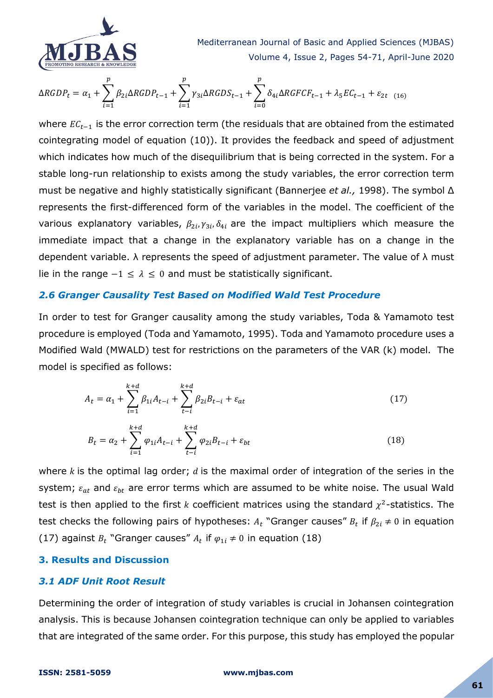

Mediterranean Journal of Basic and Applied Sciences (MJBAS) Volume 4, Issue 2, Pages 54-71, April-June 2020

$$
\Delta RGBP_t = \alpha_1 + \sum_{i=1}^p \beta_{2i} \Delta RGBP_{t-1} + \sum_{i=1}^p \gamma_{3i} \Delta RGBS_{t-1} + \sum_{i=0}^p \delta_{4i} \Delta RGFCF_{t-1} + \lambda_5 EC_{t-1} + \varepsilon_{2t} \quad (16)
$$

where  $EC_{t-1}$  is the error correction term (the residuals that are obtained from the estimated cointegrating model of equation (10)). It provides the feedback and speed of adjustment which indicates how much of the disequilibrium that is being corrected in the system. For a stable long-run relationship to exists among the study variables, the error correction term must be negative and highly statistically significant (Bannerjee *et al.,* 1998). The symbol Δ represents the first-differenced form of the variables in the model. The coefficient of the various explanatory variables,  $\beta_{2i}$ ,  $\gamma_{3i}$ ,  $\delta_{4i}$  are the impact multipliers which measure the immediate impact that a change in the explanatory variable has on a change in the dependent variable.  $\lambda$  represents the speed of adjustment parameter. The value of  $\lambda$  must lie in the range  $-1 \leq \lambda \leq 0$  and must be statistically significant.

#### *2.6 Granger Causality Test Based on Modified Wald Test Procedure*

In order to test for Granger causality among the study variables, Toda & Yamamoto test procedure is employed (Toda and Yamamoto, 1995). Toda and Yamamoto procedure uses a Modified Wald (MWALD) test for restrictions on the parameters of the VAR (k) model. The model is specified as follows:

$$
A_{t} = \alpha_{1} + \sum_{i=1}^{k+d} \beta_{1i} A_{t-i} + \sum_{t-i}^{k+d} \beta_{2i} B_{t-i} + \varepsilon_{at}
$$
\n(17)

$$
B_t = \alpha_2 + \sum_{i=1}^{k+d} \varphi_{1i} A_{t-i} + \sum_{t-i}^{k+d} \varphi_{2i} B_{t-i} + \varepsilon_{bt}
$$
 (18)

where  $k$  is the optimal lag order;  $d$  is the maximal order of integration of the series in the system;  $\varepsilon_{at}$  and  $\varepsilon_{bt}$  are error terms which are assumed to be white noise. The usual Wald test is then applied to the first k coefficient matrices using the standard  $\chi^2$ -statistics. The test checks the following pairs of hypotheses:  $A_t$  "Granger causes"  $B_t$  if  $\beta_{2i} \neq 0$  in equation (17) against  $B_t$  "Granger causes"  $A_t$  if  $\varphi_{1i} \neq 0$  in equation (18)

#### **3. Results and Discussion**

#### *3.1 ADF Unit Root Result*

Determining the order of integration of study variables is crucial in Johansen cointegration analysis. This is because Johansen cointegration technique can only be applied to variables that are integrated of the same order. For this purpose, this study has employed the popular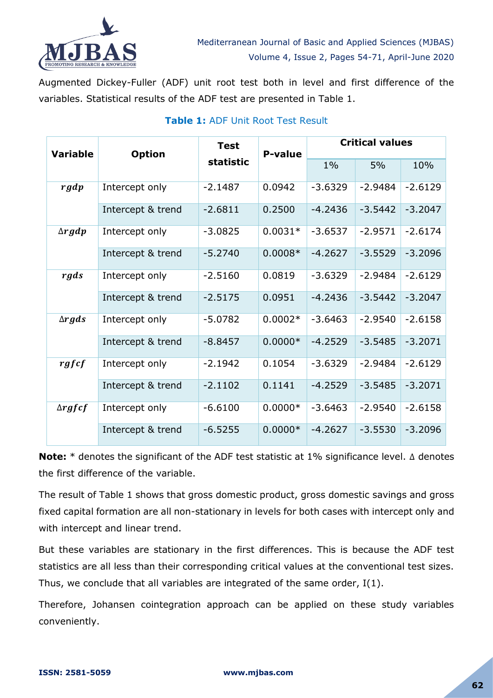

Augmented Dickey-Fuller (ADF) unit root test both in level and first difference of the variables. Statistical results of the ADF test are presented in Table 1.

| <b>Variable</b> | <b>Option</b>     | <b>Test</b><br>statistic | P-value   | <b>Critical values</b> |           |           |
|-----------------|-------------------|--------------------------|-----------|------------------------|-----------|-----------|
|                 |                   |                          |           | $1\%$                  | 5%        | 10%       |
| rgdp            | Intercept only    | $-2.1487$                | 0.0942    | $-3.6329$              | $-2.9484$ | $-2.6129$ |
|                 | Intercept & trend | $-2.6811$                | 0.2500    | $-4.2436$              | $-3.5442$ | $-3.2047$ |
| $\Delta$ rgdp   | Intercept only    | $-3.0825$                | $0.0031*$ | $-3.6537$              | $-2.9571$ | $-2.6174$ |
|                 | Intercept & trend | $-5.2740$                | $0.0008*$ | $-4.2627$              | $-3.5529$ | $-3.2096$ |
| rgds            | Intercept only    | $-2.5160$                | 0.0819    | $-3.6329$              | $-2.9484$ | $-2.6129$ |
|                 | Intercept & trend | $-2.5175$                | 0.0951    | $-4.2436$              | $-3.5442$ | $-3.2047$ |
| $\Delta$ rgds   | Intercept only    | $-5.0782$                | $0.0002*$ | $-3.6463$              | $-2.9540$ | $-2.6158$ |
|                 | Intercept & trend | $-8.8457$                | $0.0000*$ | $-4.2529$              | $-3.5485$ | $-3.2071$ |
| rgfcf           | Intercept only    | $-2.1942$                | 0.1054    | $-3.6329$              | $-2.9484$ | $-2.6129$ |
|                 | Intercept & trend | $-2.1102$                | 0.1141    | $-4.2529$              | $-3.5485$ | $-3.2071$ |
| $\Delta$ rgfcf  | Intercept only    | $-6.6100$                | $0.0000*$ | $-3.6463$              | $-2.9540$ | $-2.6158$ |
|                 | Intercept & trend | $-6.5255$                | $0.0000*$ | $-4.2627$              | $-3.5530$ | $-3.2096$ |

# **Table 1:** ADF Unit Root Test Result

**Note:**  $*$  denotes the significant of the ADF test statistic at 1% significance level.  $\Delta$  denotes the first difference of the variable.

The result of Table 1 shows that gross domestic product, gross domestic savings and gross fixed capital formation are all non-stationary in levels for both cases with intercept only and with intercept and linear trend.

But these variables are stationary in the first differences. This is because the ADF test statistics are all less than their corresponding critical values at the conventional test sizes. Thus, we conclude that all variables are integrated of the same order, I(1).

Therefore, Johansen cointegration approach can be applied on these study variables conveniently.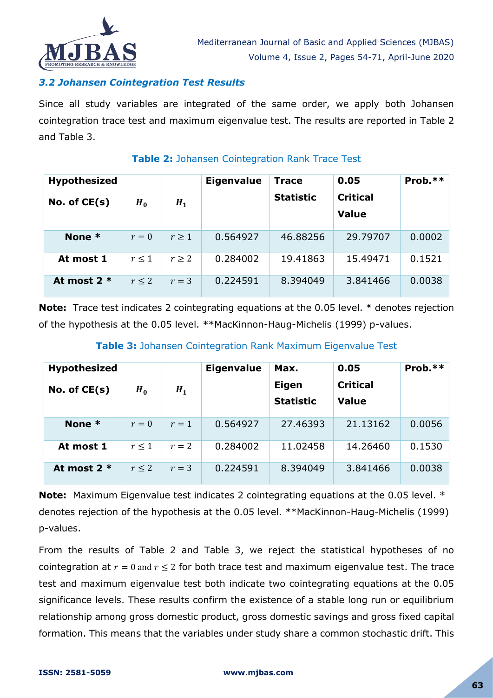

## *3.2 Johansen Cointegration Test Results*

Since all study variables are integrated of the same order, we apply both Johansen cointegration trace test and maximum eigenvalue test. The results are reported in Table 2 and Table 3.

#### **Hypothesized Eigenvalue Trace 0.05 Prob.\*\* Statistic Critical No. of CE(s)**  $H_0$  $H_1$ **Value None \***  $r = 0$  |  $r \ge 1$  | 0.564927 | 46.88256 | 29.79707 | 0.0002 **At most 1**  $r \le 1$   $r \ge 2$  0.284002 19.41863 15.49471 0.1521 **At most 2 \***  $r \le 2$  |  $r = 3$  | 0.224591 8.394049 3.841466 0.0038

#### **Table 2:** Johansen Cointegration Rank Trace Test

**Note:** Trace test indicates 2 cointegrating equations at the 0.05 level. \* denotes rejection of the hypothesis at the 0.05 level. \*\*MacKinnon-Haug-Michelis (1999) p-values.

## **Table 3:** Johansen Cointegration Rank Maximum Eigenvalue Test

| <b>Hypothesized</b><br>No. of $CE(s)$ | $H_0$      | $H_1$ | <b>Eigenvalue</b> | Max.<br><b>Eigen</b> | 0.05<br><b>Critical</b><br><b>Value</b> | Prob. $**$ |
|---------------------------------------|------------|-------|-------------------|----------------------|-----------------------------------------|------------|
|                                       |            |       |                   | <b>Statistic</b>     |                                         |            |
| None $*$                              | $r=0$      | $r=1$ | 0.564927          | 27.46393             | 21.13162                                | 0.0056     |
| At most 1                             | $r \leq 1$ | $r=2$ | 0.284002          | 11.02458             | 14.26460                                | 0.1530     |
| At most $2 *$                         | $r \leq 2$ | $r=3$ | 0.224591          | 8.394049             | 3.841466                                | 0.0038     |

**Note:** Maximum Eigenvalue test indicates 2 cointegrating equations at the 0.05 level. \* denotes rejection of the hypothesis at the 0.05 level. \*\*MacKinnon-Haug-Michelis (1999) p-values.

From the results of Table 2 and Table 3, we reject the statistical hypotheses of no cointegration at  $r = 0$  and  $r < 2$  for both trace test and maximum eigenvalue test. The trace test and maximum eigenvalue test both indicate two cointegrating equations at the 0.05 significance levels. These results confirm the existence of a stable long run or equilibrium relationship among gross domestic product, gross domestic savings and gross fixed capital formation. This means that the variables under study share a common stochastic drift. This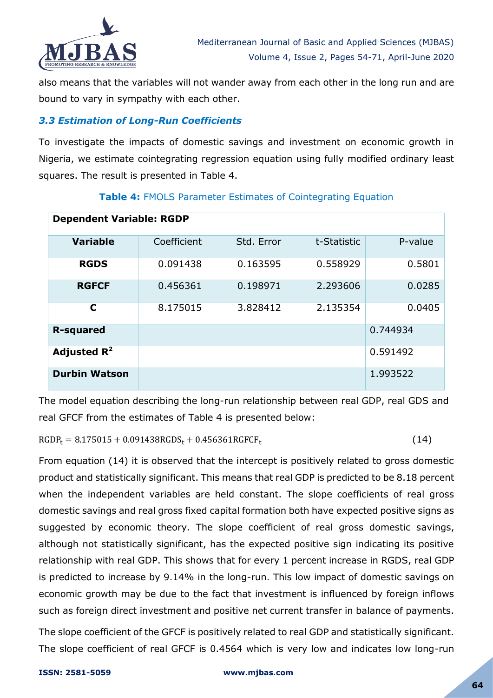

also means that the variables will not wander away from each other in the long run and are bound to vary in sympathy with each other.

## *3.3 Estimation of Long-Run Coefficients*

To investigate the impacts of domestic savings and investment on economic growth in Nigeria, we estimate cointegrating regression equation using fully modified ordinary least squares. The result is presented in Table 4.

| <b>Dependent Variable: RGDP</b> |             |            |             |          |  |  |  |
|---------------------------------|-------------|------------|-------------|----------|--|--|--|
| <b>Variable</b>                 | Coefficient | Std. Error | t-Statistic | P-value  |  |  |  |
| <b>RGDS</b>                     | 0.091438    | 0.163595   | 0.558929    | 0.5801   |  |  |  |
| <b>RGFCF</b>                    | 0.456361    | 0.198971   | 2.293606    | 0.0285   |  |  |  |
| C                               | 8.175015    | 3.828412   | 2.135354    | 0.0405   |  |  |  |
| <b>R-squared</b>                |             |            |             | 0.744934 |  |  |  |
| Adjusted $R^2$                  |             | 0.591492   |             |          |  |  |  |
| <b>Durbin Watson</b>            |             |            |             | 1.993522 |  |  |  |

## **Table 4:** FMOLS Parameter Estimates of Cointegrating Equation

The model equation describing the long-run relationship between real GDP, real GDS and real GFCF from the estimates of Table 4 is presented below:

 $RGDP_t = 8.175015 + 0.091438RGDS_t + 0.456361RGFCF_t$ 

(14)

From equation (14) it is observed that the intercept is positively related to gross domestic product and statistically significant. This means that real GDP is predicted to be 8.18 percent when the independent variables are held constant. The slope coefficients of real gross domestic savings and real gross fixed capital formation both have expected positive signs as suggested by economic theory. The slope coefficient of real gross domestic savings, although not statistically significant, has the expected positive sign indicating its positive relationship with real GDP. This shows that for every 1 percent increase in RGDS, real GDP is predicted to increase by 9.14% in the long-run. This low impact of domestic savings on economic growth may be due to the fact that investment is influenced by foreign inflows such as foreign direct investment and positive net current transfer in balance of payments.

The slope coefficient of the GFCF is positively related to real GDP and statistically significant. The slope coefficient of real GFCF is 0.4564 which is very low and indicates low long-run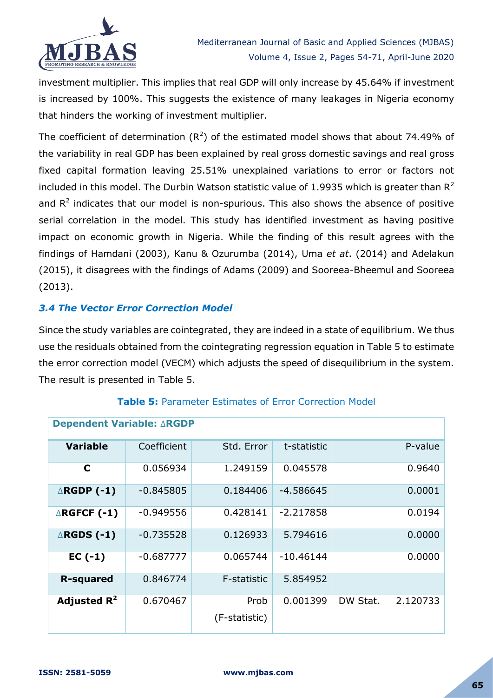

investment multiplier. This implies that real GDP will only increase by 45.64% if investment is increased by 100%. This suggests the existence of many leakages in Nigeria economy that hinders the working of investment multiplier.

The coefficient of determination ( $R^2$ ) of the estimated model shows that about 74.49% of the variability in real GDP has been explained by real gross domestic savings and real gross fixed capital formation leaving 25.51% unexplained variations to error or factors not included in this model. The Durbin Watson statistic value of 1.9935 which is greater than  $R^2$ and  $R<sup>2</sup>$  indicates that our model is non-spurious. This also shows the absence of positive serial correlation in the model. This study has identified investment as having positive impact on economic growth in Nigeria. While the finding of this result agrees with the findings of Hamdani (2003), Kanu & Ozurumba (2014), Uma *et at*. (2014) and Adelakun (2015), it disagrees with the findings of Adams (2009) and Sooreea-Bheemul and Sooreea (2013).

## *3.4 The Vector Error Correction Model*

Since the study variables are cointegrated, they are indeed in a state of equilibrium. We thus use the residuals obtained from the cointegrating regression equation in Table 5 to estimate the error correction model (VECM) which adjusts the speed of disequilibrium in the system. The result is presented in Table 5.

| <b>Dependent Variable: ∆RGDP</b> |             |                       |             |          |          |  |
|----------------------------------|-------------|-----------------------|-------------|----------|----------|--|
| <b>Variable</b>                  | Coefficient | Std. Error            | t-statistic |          | P-value  |  |
| C                                | 0.056934    | 1.249159              | 0.045578    | 0.9640   |          |  |
| $\triangle$ RGDP (-1)            | $-0.845805$ | 0.184406              | $-4.586645$ | 0.0001   |          |  |
| $\triangle$ RGFCF (-1)           | $-0.949556$ | 0.428141              | $-2.217858$ | 0.0194   |          |  |
| $\triangle$ RGDS (-1)            | $-0.735528$ | 0.126933              | 5.794616    | 0.0000   |          |  |
| $EC(-1)$                         | $-0.687777$ | 0.065744              | $-10.46144$ | 0.0000   |          |  |
| <b>R-squared</b>                 | 0.846774    | F-statistic           | 5.854952    |          |          |  |
| Adjusted $R^2$                   | 0.670467    | Prob<br>(F-statistic) | 0.001399    | DW Stat. | 2.120733 |  |
|                                  |             |                       |             |          |          |  |

## **Table 5:** Parameter Estimates of Error Correction Model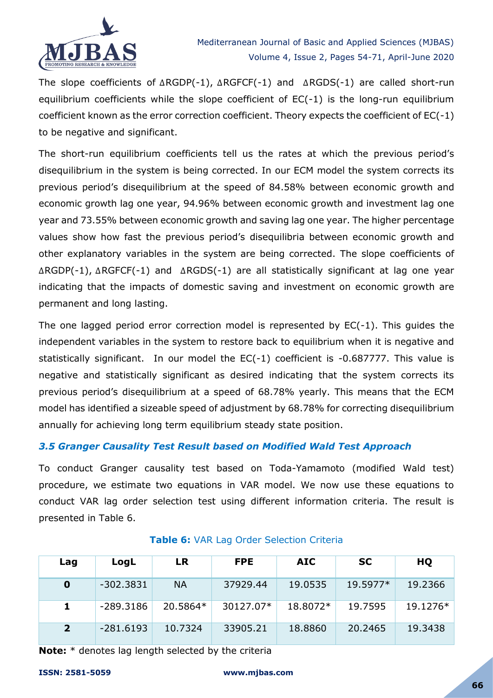

The slope coefficients of  $\triangle RGDP(-1)$ ,  $\triangle RGFCF(-1)$  and  $\triangle RGDS(-1)$  are called short-run equilibrium coefficients while the slope coefficient of  $EC(-1)$  is the long-run equilibrium coefficient known as the error correction coefficient. Theory expects the coefficient of EC(-1) to be negative and significant.

The short-run equilibrium coefficients tell us the rates at which the previous period's disequilibrium in the system is being corrected. In our ECM model the system corrects its previous period's disequilibrium at the speed of 84.58% between economic growth and economic growth lag one year, 94.96% between economic growth and investment lag one year and 73.55% between economic growth and saving lag one year. The higher percentage values show how fast the previous period's disequilibria between economic growth and other explanatory variables in the system are being corrected. The slope coefficients of  $\triangle$ RGDP(-1),  $\triangle$ RGFCF(-1) and  $\triangle$ RGDS(-1) are all statistically significant at lag one year indicating that the impacts of domestic saving and investment on economic growth are permanent and long lasting.

The one lagged period error correction model is represented by EC(-1). This guides the independent variables in the system to restore back to equilibrium when it is negative and statistically significant. In our model the EC(-1) coefficient is -0.687777. This value is negative and statistically significant as desired indicating that the system corrects its previous period's disequilibrium at a speed of 68.78% yearly. This means that the ECM model has identified a sizeable speed of adjustment by 68.78% for correcting disequilibrium annually for achieving long term equilibrium steady state position.

## *3.5 Granger Causality Test Result based on Modified Wald Test Approach*

To conduct Granger causality test based on Toda-Yamamoto (modified Wald test) procedure, we estimate two equations in VAR model. We now use these equations to conduct VAR lag order selection test using different information criteria. The result is presented in Table 6.

| Lag            | LogL        | <b>LR</b> | <b>FPE</b> | <b>AIC</b> | <b>SC</b> | HQ       |
|----------------|-------------|-----------|------------|------------|-----------|----------|
| 0              | $-302.3831$ | <b>NA</b> | 37929.44   | 19.0535    | 19.5977*  | 19.2366  |
|                | $-289.3186$ | 20.5864*  | 30127.07*  | 18.8072*   | 19.7595   | 19.1276* |
| $\overline{2}$ | $-281.6193$ | 10.7324   | 33905.21   | 18.8860    | 20.2465   | 19.3438  |

## **Table 6:** VAR Lag Order Selection Criteria

**Note:** \* denotes lag length selected by the criteria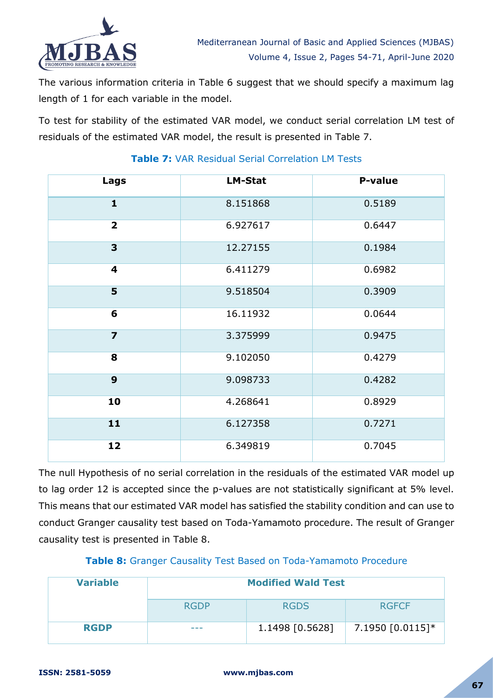

The various information criteria in Table 6 suggest that we should specify a maximum lag length of 1 for each variable in the model.

To test for stability of the estimated VAR model, we conduct serial correlation LM test of residuals of the estimated VAR model, the result is presented in Table 7.

| Lags                    | <b>LM-Stat</b> | <b>P-value</b> |
|-------------------------|----------------|----------------|
| $\mathbf{1}$            | 8.151868       | 0.5189         |
| $\overline{\mathbf{2}}$ | 6.927617       | 0.6447         |
| 3                       | 12.27155       | 0.1984         |
| 4                       | 6.411279       | 0.6982         |
| 5                       | 9.518504       | 0.3909         |
| 6                       | 16.11932       | 0.0644         |
| $\overline{\mathbf{z}}$ | 3.375999       | 0.9475         |
| 8                       | 9.102050       | 0.4279         |
| 9                       | 9.098733       | 0.4282         |
| 10                      | 4.268641       | 0.8929         |
| 11                      | 6.127358       | 0.7271         |
| 12                      | 6.349819       | 0.7045         |

# **Table 7:** VAR Residual Serial Correlation LM Tests

The null Hypothesis of no serial correlation in the residuals of the estimated VAR model up to lag order 12 is accepted since the p-values are not statistically significant at 5% level. This means that our estimated VAR model has satisfied the stability condition and can use to conduct Granger causality test based on Toda-Yamamoto procedure. The result of Granger causality test is presented in Table 8.

## **Table 8:** Granger Causality Test Based on Toda-Yamamoto Procedure

| <b>Variable</b> | <b>Modified Wald Test</b> |                 |                  |  |
|-----------------|---------------------------|-----------------|------------------|--|
|                 | <b>RGDP</b>               | <b>RGDS</b>     | <b>RGFCF</b>     |  |
| <b>RGDP</b>     | ---                       | 1.1498 [0.5628] | 7.1950 [0.0115]* |  |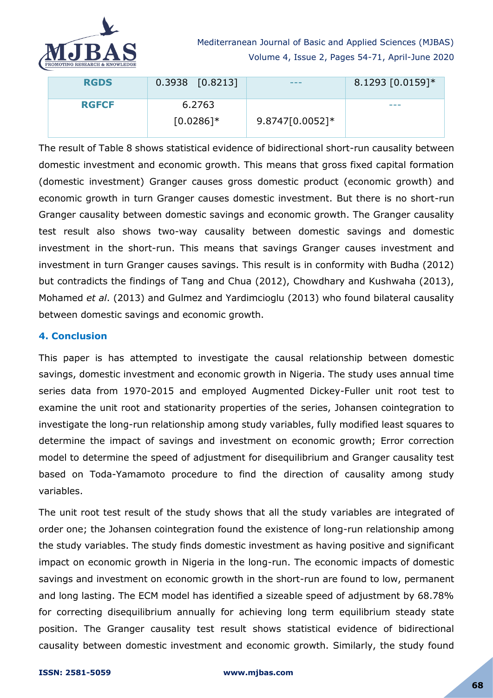

| <b>RGDS</b>  | $0.3938$ $[0.8213]$ | ---               | $8.1293 [0.0159]$ * |
|--------------|---------------------|-------------------|---------------------|
| <b>RGFCF</b> | 6.2763              |                   | ---                 |
|              | $[0.0286]$ *        | $9.8747[0.0052]*$ |                     |

The result of Table 8 shows statistical evidence of bidirectional short-run causality between domestic investment and economic growth. This means that gross fixed capital formation (domestic investment) Granger causes gross domestic product (economic growth) and economic growth in turn Granger causes domestic investment. But there is no short-run Granger causality between domestic savings and economic growth. The Granger causality test result also shows two-way causality between domestic savings and domestic investment in the short-run. This means that savings Granger causes investment and investment in turn Granger causes savings. This result is in conformity with Budha (2012) but contradicts the findings of Tang and Chua (2012), Chowdhary and Kushwaha (2013), Mohamed *et al*. (2013) and Gulmez and Yardimcioglu (2013) who found bilateral causality between domestic savings and economic growth.

## **4. Conclusion**

This paper is has attempted to investigate the causal relationship between domestic savings, domestic investment and economic growth in Nigeria. The study uses annual time series data from 1970-2015 and employed Augmented Dickey-Fuller unit root test to examine the unit root and stationarity properties of the series, Johansen cointegration to investigate the long-run relationship among study variables, fully modified least squares to determine the impact of savings and investment on economic growth; Error correction model to determine the speed of adjustment for disequilibrium and Granger causality test based on Toda-Yamamoto procedure to find the direction of causality among study variables.

The unit root test result of the study shows that all the study variables are integrated of order one; the Johansen cointegration found the existence of long-run relationship among the study variables. The study finds domestic investment as having positive and significant impact on economic growth in Nigeria in the long-run. The economic impacts of domestic savings and investment on economic growth in the short-run are found to low, permanent and long lasting. The ECM model has identified a sizeable speed of adjustment by 68.78% for correcting disequilibrium annually for achieving long term equilibrium steady state position. The Granger causality test result shows statistical evidence of bidirectional causality between domestic investment and economic growth. Similarly, the study found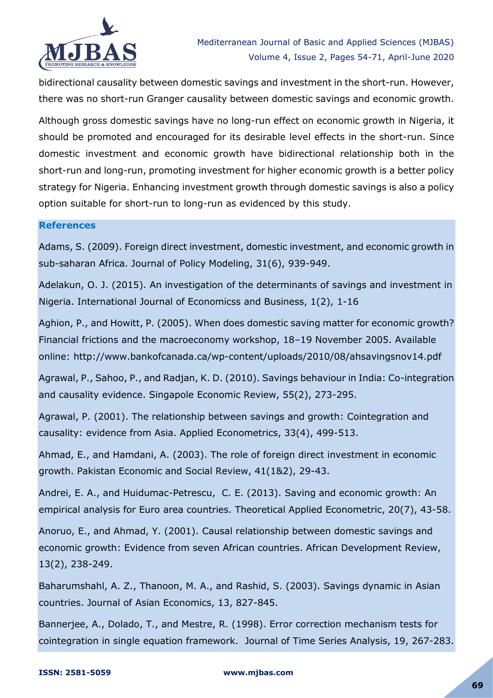

bidirectional causality between domestic savings and investment in the short-run. However, there was no short-run Granger causality between domestic savings and economic growth.

Although gross domestic savings have no long-run effect on economic growth in Nigeria, it should be promoted and encouraged for its desirable level effects in the short-run. Since domestic investment and economic growth have bidirectional relationship both in the short-run and long-run, promoting investment for higher economic growth is a better policy strategy for Nigeria. Enhancing investment growth through domestic savings is also a policy option suitable for short-run to long-run as evidenced by this study.

#### **References**

Adams, S. (2009). Foreign direct investment, domestic investment, and economic growth in sub-saharan Africa. Journal of Policy Modeling, 31(6), 939-949.

Adelakun, O. J. (2015). An investigation of the determinants of savings and investment in Nigeria. International Journal of Economicss and Business, 1(2), 1-16

Aghion, P., and Howitt, P. (2005). When does domestic saving matter for economic growth? Financial frictions and the macroeconomy workshop, 18–19 November 2005. Available online: http://www.bankofcanada.ca/wp-content/uploads/2010/08/ahsavingsnov14.pdf

Agrawal, P., Sahoo, P., and Radjan, K. D. (2010). Savings behaviour in India: Co-integration and causality evidence. Singapole Economic Review, 55(2), 273-295.

Agrawal, P. (2001). The relationship between savings and growth: Cointegration and causality: evidence from Asia. Applied Econometrics, 33(4), 499-513.

Ahmad, E., and Hamdani, A. (2003). The role of foreign direct investment in economic growth. Pakistan Economic and Social Review, 41(1&2), 29-43.

Andrei, E. A., and Huidumac-Petrescu, C. E. (2013). Saving and economic growth: An empirical analysis for Euro area countries. Theoretical Applied Econometric, 20(7), 43-58.

Anoruo, E., and Ahmad, Y. (2001). Causal relationship between domestic savings and economic growth: Evidence from seven African countries. African Development Review, 13(2), 238-249.

Baharumshahl, A. Z., Thanoon, M. A., and Rashid, S. (2003). Savings dynamic in Asian countries. Journal of Asian Economics, 13, 827-845.

Bannerjee, A., Dolado, T., and Mestre, R. (1998). Error correction mechanism tests for cointegration in single equation framework. Journal of Time Series Analysis, 19, 267-283.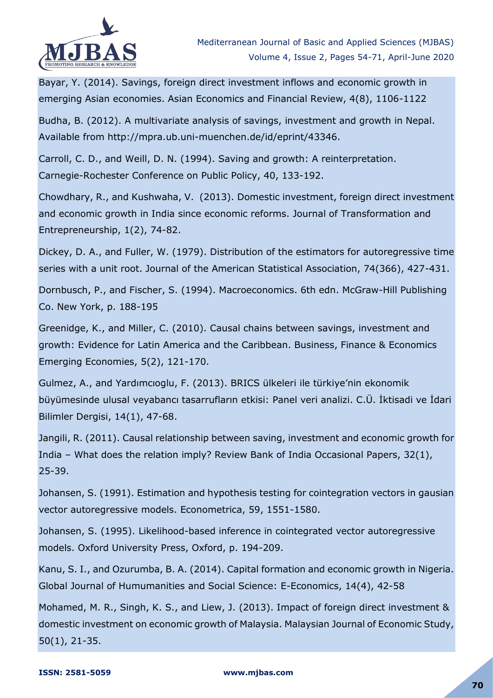

Bayar, Y. (2014). Savings, foreign direct investment inflows and economic growth in emerging Asian economies. Asian Economics and Financial Review, 4(8), 1106-1122

Budha, B. (2012). A multivariate analysis of savings, investment and growth in Nepal. Available from http://mpra.ub.uni-muenchen.de/id/eprint/43346.

Carroll, C. D., and Weill, D. N. (1994). Saving and growth: A reinterpretation. Carnegie-Rochester Conference on Public Policy, 40, 133-192.

Chowdhary, R., and Kushwaha, V. (2013). Domestic investment, foreign direct investment and economic growth in India since economic reforms. Journal of Transformation and Entrepreneurship, 1(2), 74-82.

Dickey, D. A., and Fuller, W. (1979). Distribution of the estimators for autoregressive time series with a unit root. Journal of the American Statistical Association, 74(366), 427-431.

Dornbusch, P., and Fischer, S. (1994). Macroeconomics. 6th edn. McGraw-Hill Publishing Co. New York, p. 188-195

Greenidge, K., and Miller, C. (2010). Causal chains between savings, investment and growth: Evidence for Latin America and the Caribbean. Business, Finance & Economics Emerging Economies, 5(2), 121-170.

Gulmez, A., and Yardımcıoglu, F. (2013). BRICS ülkeleri ile türkiye'nin ekonomik büyümesinde ulusal veyabancı tasarrufların etkisi: Panel veri analizi. C.Ü. İktisadi ve İdari Bilimler Dergisi, 14(1), 47-68.

Jangili, R. (2011). Causal relationship between saving, investment and economic growth for India – What does the relation imply? Review Bank of India Occasional Papers, 32(1), 25-39.

Johansen, S. (1991). Estimation and hypothesis testing for cointegration vectors in gausian vector autoregressive models. Econometrica, 59, 1551-1580.

Johansen, S. (1995). Likelihood-based inference in cointegrated vector autoregressive models. Oxford University Press, Oxford, p. 194-209.

Kanu, S. I., and Ozurumba, B. A. (2014). Capital formation and economic growth in Nigeria. Global Journal of Humumanities and Social Science: E-Economics, 14(4), 42-58

Mohamed, M. R., Singh, K. S., and Liew, J. (2013). Impact of foreign direct investment & domestic investment on economic growth of Malaysia. Malaysian Journal of Economic Study, 50(1), 21-35.